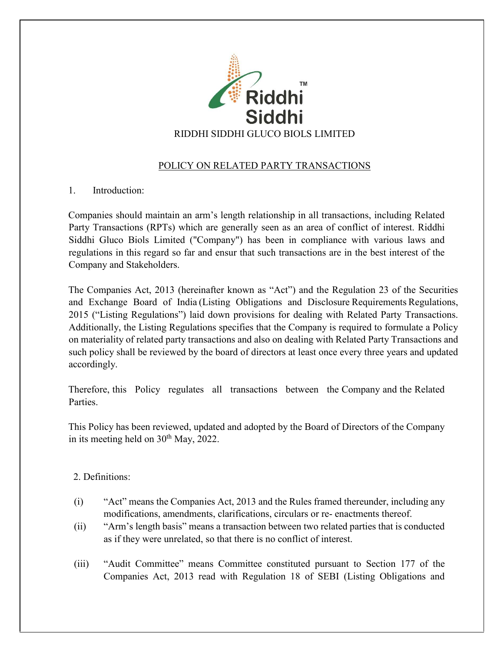

# POLICY ON RELATED PARTY TRANSACTIONS

## 1. Introduction:

Companies should maintain an arm's length relationship in all transactions, including Related Party Transactions (RPTs) which are generally seen as an area of conflict of interest. Riddhi Siddhi Gluco Biols Limited ("Company") has been in compliance with various laws and regulations in this regard so far and ensur that such transactions are in the best interest of the Company and Stakeholders.

The Companies Act, 2013 (hereinafter known as "Act") and the Regulation 23 of the Securities and Exchange Board of India (Listing Obligations and Disclosure Requirements Regulations, 2015 ("Listing Regulations") laid down provisions for dealing with Related Party Transactions. Additionally, the Listing Regulations specifies that the Company is required to formulate a Policy on materiality of related party transactions and also on dealing with Related Party Transactions and such policy shall be reviewed by the board of directors at least once every three years and updated accordingly.

Therefore, this Policy regulates all transactions between the Company and the Related Parties.

This Policy has been reviewed, updated and adopted by the Board of Directors of the Company in its meeting held on  $30<sup>th</sup>$  May, 2022.

## 2. Definitions:

- (i) "Act" means the Companies Act, 2013 and the Rules framed thereunder, including any modifications, amendments, clarifications, circulars or re- enactments thereof.
- (ii) "Arm's length basis" means a transaction between two related parties that is conducted as if they were unrelated, so that there is no conflict of interest.
- (iii) "Audit Committee" means Committee constituted pursuant to Section 177 of the Companies Act, 2013 read with Regulation 18 of SEBI (Listing Obligations and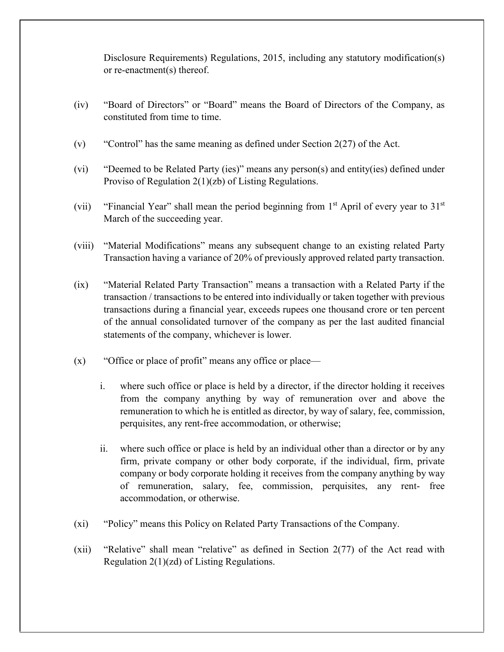Disclosure Requirements) Regulations, 2015, including any statutory modification(s) or re-enactment(s) thereof.

- (iv) "Board of Directors" or "Board" means the Board of Directors of the Company, as constituted from time to time.
- (v) "Control" has the same meaning as defined under Section  $2(27)$  of the Act.
- (vi) "Deemed to be Related Party (ies)" means any person(s) and entity(ies) defined under Proviso of Regulation 2(1)(zb) of Listing Regulations.
- (vii) "Financial Year" shall mean the period beginning from  $1<sup>st</sup>$  April of every year to  $31<sup>st</sup>$ March of the succeeding year.
- (viii) "Material Modifications" means any subsequent change to an existing related Party Transaction having a variance of 20% of previously approved related party transaction.
- (ix) "Material Related Party Transaction" means a transaction with a Related Party if the transaction / transactions to be entered into individually or taken together with previous transactions during a financial year, exceeds rupees one thousand crore or ten percent of the annual consolidated turnover of the company as per the last audited financial statements of the company, whichever is lower.
- (x) "Office or place of profit" means any office or place
	- i. where such office or place is held by a director, if the director holding it receives from the company anything by way of remuneration over and above the remuneration to which he is entitled as director, by way of salary, fee, commission, perquisites, any rent-free accommodation, or otherwise;
	- ii. where such office or place is held by an individual other than a director or by any firm, private company or other body corporate, if the individual, firm, private company or body corporate holding it receives from the company anything by way of remuneration, salary, fee, commission, perquisites, any rent- free accommodation, or otherwise.
- (xi) "Policy" means this Policy on Related Party Transactions of the Company.
- (xii) "Relative" shall mean "relative" as defined in Section 2(77) of the Act read with Regulation 2(1)(zd) of Listing Regulations.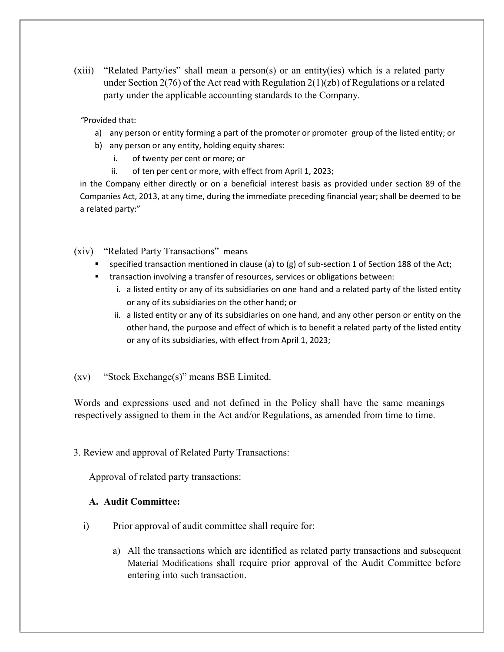(xiii) "Related Party/ies" shall mean a person(s) or an entity(ies) which is a related party under Section 2(76) of the Act read with Regulation 2(1)(zb) of Regulations or a related party under the applicable accounting standards to the Company.

*"*Provided that:

- a) any person or entity forming a part of the promoter or promoter group of the listed entity; or
- b) any person or any entity, holding equity shares:
	- i. of twenty per cent or more; or
	- ii. of ten per cent or more, with effect from April 1, 2023;

in the Company either directly or on a beneficial interest basis as provided under section 89 of the Companies Act, 2013, at any time, during the immediate preceding financial year; shall be deemed to be a related party:"

- (xiv) "Related Party Transactions" means
	- specified transaction mentioned in clause (a) to (g) of sub-section 1 of Section 188 of the Act;
	- transaction involving a transfer of resources, services or obligations between:
		- i. a listed entity or any of its subsidiaries on one hand and a related party of the listed entity or any of its subsidiaries on the other hand; or
		- ii. a listed entity or any of its subsidiaries on one hand, and any other person or entity on the other hand, the purpose and effect of which is to benefit a related party of the listed entity or any of its subsidiaries, with effect from April 1, 2023;
- (xv) "Stock Exchange(s)" means BSE Limited.

Words and expressions used and not defined in the Policy shall have the same meanings respectively assigned to them in the Act and/or Regulations, as amended from time to time.

3. Review and approval of Related Party Transactions:

Approval of related party transactions:

#### **A. Audit Committee:**

- i) Prior approval of audit committee shall require for:
	- a) All the transactions which are identified as related party transactions and subsequent Material Modifications shall require prior approval of the Audit Committee before entering into such transaction.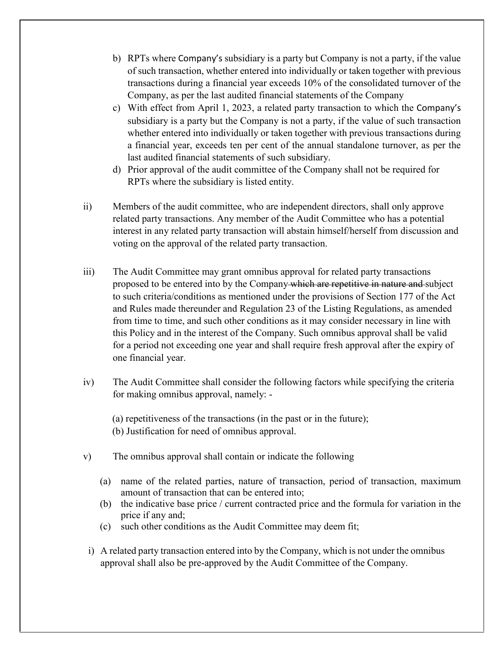- b) RPTs where Company's subsidiary is a party but Company is not a party, if the value of such transaction, whether entered into individually or taken together with previous transactions during a financial year exceeds 10% of the consolidated turnover of the Company, as per the last audited financial statements of the Company
- c) With effect from April 1, 2023, a related party transaction to which the Company's subsidiary is a party but the Company is not a party, if the value of such transaction whether entered into individually or taken together with previous transactions during a financial year, exceeds ten per cent of the annual standalone turnover, as per the last audited financial statements of such subsidiary.
- d) Prior approval of the audit committee of the Company shall not be required for RPTs where the subsidiary is listed entity.
- ii) Members of the audit committee, who are independent directors, shall only approve related party transactions. Any member of the Audit Committee who has a potential interest in any related party transaction will abstain himself/herself from discussion and voting on the approval of the related party transaction.
- iii) The Audit Committee may grant omnibus approval for related party transactions proposed to be entered into by the Company which are repetitive in nature and subject to such criteria/conditions as mentioned under the provisions of Section 177 of the Act and Rules made thereunder and Regulation 23 of the Listing Regulations, as amended from time to time, and such other conditions as it may consider necessary in line with this Policy and in the interest of the Company. Such omnibus approval shall be valid for a period not exceeding one year and shall require fresh approval after the expiry of one financial year.
- iv) The Audit Committee shall consider the following factors while specifying the criteria for making omnibus approval, namely: -
	- (a) repetitiveness of the transactions (in the past or in the future);
	- (b) Justification for need of omnibus approval.
- v) The omnibus approval shall contain or indicate the following
	- (a) name of the related parties, nature of transaction, period of transaction, maximum amount of transaction that can be entered into;
	- (b) the indicative base price / current contracted price and the formula for variation in the price if any and;
	- (c) such other conditions as the Audit Committee may deem fit;
- i) A related party transaction entered into by the Company, which is not under the omnibus approval shall also be pre-approved by the Audit Committee of the Company.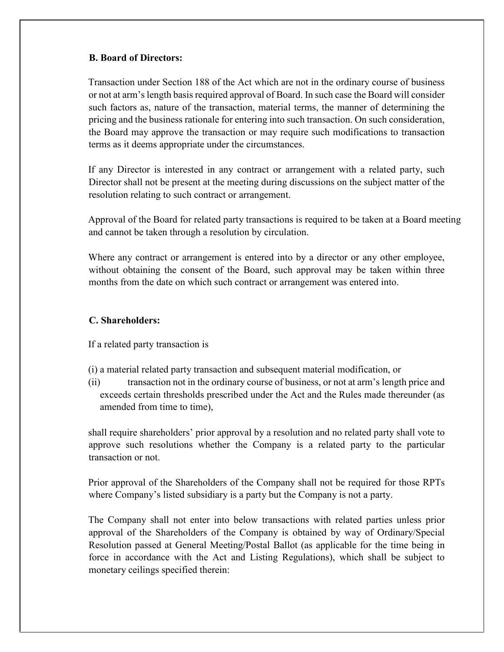#### **B. Board of Directors:**

Transaction under Section 188 of the Act which are not in the ordinary course of business or not at arm's length basis required approval of Board. In such case the Board will consider such factors as, nature of the transaction, material terms, the manner of determining the pricing and the business rationale for entering into such transaction. On such consideration, the Board may approve the transaction or may require such modifications to transaction terms as it deems appropriate under the circumstances.

If any Director is interested in any contract or arrangement with a related party, such Director shall not be present at the meeting during discussions on the subject matter of the resolution relating to such contract or arrangement.

Approval of the Board for related party transactions is required to be taken at a Board meeting and cannot be taken through a resolution by circulation.

Where any contract or arrangement is entered into by a director or any other employee, without obtaining the consent of the Board, such approval may be taken within three months from the date on which such contract or arrangement was entered into.

### **C. Shareholders:**

If a related party transaction is

- (i) a material related party transaction and subsequent material modification, or
- (ii) transaction not in the ordinary course of business, or not at arm's length price and exceeds certain thresholds prescribed under the Act and the Rules made thereunder (as amended from time to time),

shall require shareholders' prior approval by a resolution and no related party shall vote to approve such resolutions whether the Company is a related party to the particular transaction or not.

Prior approval of the Shareholders of the Company shall not be required for those RPTs where Company's listed subsidiary is a party but the Company is not a party.

The Company shall not enter into below transactions with related parties unless prior approval of the Shareholders of the Company is obtained by way of Ordinary/Special Resolution passed at General Meeting/Postal Ballot (as applicable for the time being in force in accordance with the Act and Listing Regulations), which shall be subject to monetary ceilings specified therein: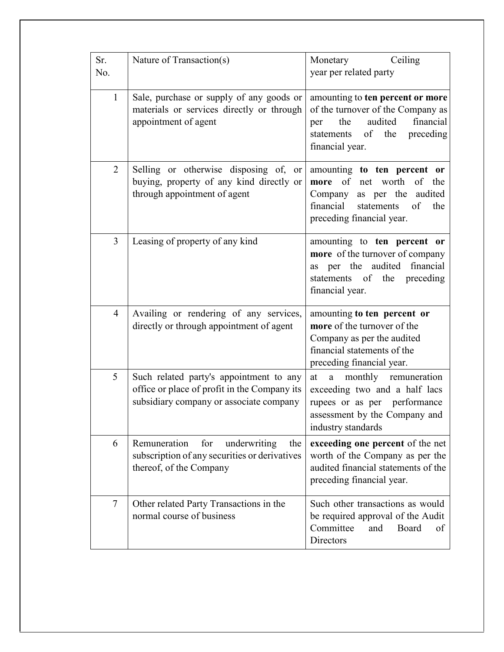| Sr.<br>No.     | Nature of Transaction(s)                                                                                                           | Monetary Ceiling<br>year per related party                                                                                                                                |
|----------------|------------------------------------------------------------------------------------------------------------------------------------|---------------------------------------------------------------------------------------------------------------------------------------------------------------------------|
| $\mathbf{1}$   | Sale, purchase or supply of any goods or<br>materials or services directly or through<br>appointment of agent                      | amounting to ten percent or more<br>of the turnover of the Company as<br>audited<br>financial<br>the<br>per<br>of the<br>preceding<br>statements<br>financial year.       |
| 2              | Selling or otherwise disposing of,<br>or<br>buying, property of any kind directly or<br>through appointment of agent               | amounting to ten percent or<br>of net worth<br>of<br>the<br>more<br>as per the<br>audited<br>Company<br>financial<br>statements<br>of<br>the<br>preceding financial year. |
| $\overline{3}$ | Leasing of property of any kind                                                                                                    | amounting to ten percent or<br>more of the turnover of company<br>per the audited financial<br>as<br>statements of the<br>preceding<br>financial year.                    |
| $\overline{4}$ | Availing or rendering of any services,<br>directly or through appointment of agent                                                 | amounting to ten percent or<br>more of the turnover of the<br>Company as per the audited<br>financial statements of the<br>preceding financial year.                      |
| 5              | Such related party's appointment to any<br>office or place of profit in the Company its<br>subsidiary company or associate company | monthly remuneration<br>at<br>a<br>exceeding two and a half lacs<br>rupees or as per performance<br>assessment by the Company and<br>industry standards                   |
| 6              | Remuneration<br>for<br>underwriting<br>the<br>subscription of any securities or derivatives<br>thereof, of the Company             | exceeding one percent of the net<br>worth of the Company as per the<br>audited financial statements of the<br>preceding financial year.                                   |
| $\tau$         | Other related Party Transactions in the<br>normal course of business                                                               | Such other transactions as would<br>be required approval of the Audit<br>Committee<br>Board<br>and<br>of<br><b>Directors</b>                                              |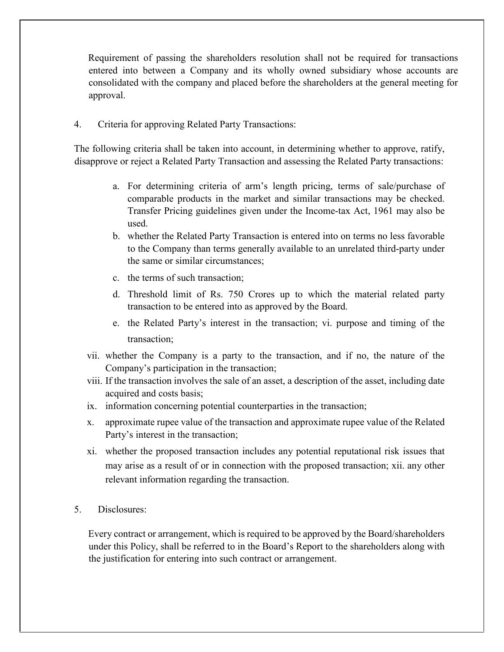Requirement of passing the shareholders resolution shall not be required for transactions entered into between a Company and its wholly owned subsidiary whose accounts are consolidated with the company and placed before the shareholders at the general meeting for approval.

4. Criteria for approving Related Party Transactions:

The following criteria shall be taken into account, in determining whether to approve, ratify, disapprove or reject a Related Party Transaction and assessing the Related Party transactions:

- a. For determining criteria of arm's length pricing, terms of sale/purchase of comparable products in the market and similar transactions may be checked. Transfer Pricing guidelines given under the Income-tax Act, 1961 may also be used.
- b. whether the Related Party Transaction is entered into on terms no less favorable to the Company than terms generally available to an unrelated third-party under the same or similar circumstances;
- c. the terms of such transaction;
- d. Threshold limit of Rs. 750 Crores up to which the material related party transaction to be entered into as approved by the Board.
- e. the Related Party's interest in the transaction; vi. purpose and timing of the transaction;
- vii. whether the Company is a party to the transaction, and if no, the nature of the Company's participation in the transaction;
- viii. If the transaction involves the sale of an asset, a description of the asset, including date acquired and costs basis;
- ix. information concerning potential counterparties in the transaction;
- x. approximate rupee value of the transaction and approximate rupee value of the Related Party's interest in the transaction;
- xi. whether the proposed transaction includes any potential reputational risk issues that may arise as a result of or in connection with the proposed transaction; xii. any other relevant information regarding the transaction.
- 5. Disclosures:

Every contract or arrangement, which is required to be approved by the Board/shareholders under this Policy, shall be referred to in the Board's Report to the shareholders along with the justification for entering into such contract or arrangement.